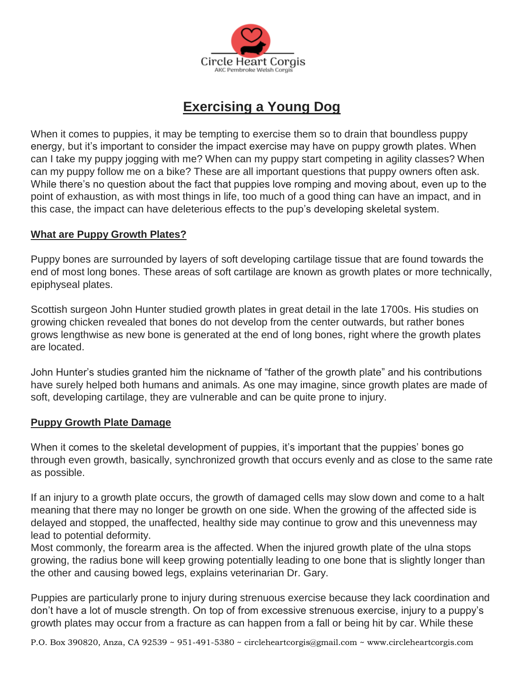

# **Exercising a Young Dog**

When it comes to puppies, it may be tempting to exercise them so to drain that boundless puppy energy, but it's important to consider the impact exercise may have on puppy growth plates. When can I take my puppy jogging with me? When can my puppy start competing in agility classes? When can my puppy follow me on a bike? These are all important questions that puppy owners often ask. While there's no question about the fact that puppies love romping and moving about, even up to the point of exhaustion, as with most things in life, too much of a good thing can have an impact, and in this case, the impact can have deleterious effects to the pup's developing skeletal system.

# **What are Puppy Growth Plates?**

Puppy bones are surrounded by layers of soft developing cartilage tissue that are found towards the end of most long bones. These areas of soft cartilage are known as growth plates or more technically, epiphyseal plates.

Scottish surgeon John Hunter studied growth plates in great detail in the late 1700s. His studies on growing chicken revealed that bones do not develop from the center outwards, but rather bones grows lengthwise as new bone is generated at the end of long bones, right where the growth plates are located.

John Hunter's studies granted him the nickname of "father of the growth plate" and his contributions have surely helped both humans and animals. As one may imagine, since growth plates are made of soft, developing cartilage, they are vulnerable and can be quite prone to injury.

# **Puppy Growth Plate Damage**

When it comes to the skeletal development of puppies, it's important that the puppies' bones go through even growth, basically, synchronized growth that occurs evenly and as close to the same rate as possible.

If an injury to a growth plate occurs, the growth of damaged cells may slow down and come to a halt meaning that there may no longer be growth on one side. When the growing of the affected side is delayed and stopped, the unaffected, healthy side may continue to grow and this unevenness may lead to potential deformity.

Most commonly, the forearm area is the affected. When the injured growth plate of the ulna stops growing, the radius bone will keep growing potentially leading to one bone that is slightly longer than the other and causing bowed legs, explains veterinarian Dr. Gary.

Puppies are particularly prone to injury during strenuous exercise because they lack coordination and don't have a lot of muscle strength. On top of from excessive strenuous exercise, injury to a puppy's growth plates may occur from a fracture as can happen from a fall or being hit by car. While these

P.O. Box 390820, Anza, CA 92539 ~ 951-491-5380 ~ [circleheartcorgis@gmail.com](mailto:circleheartcorgis@gmail.com) ~ www.circleheartcorgis.com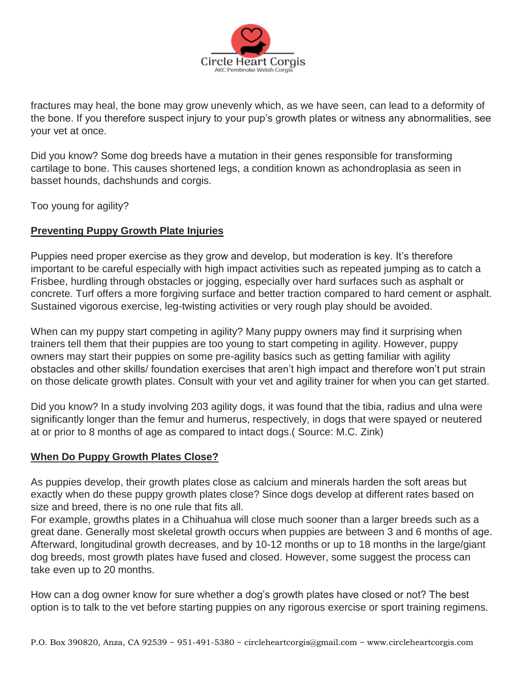

fractures may heal, the bone may grow unevenly which, as we have seen, can lead to a deformity of the bone. If you therefore suspect injury to your pup's growth plates or witness any abnormalities, see your vet at once.

Did you know? Some dog breeds have a mutation in their genes responsible for transforming cartilage to bone. This causes shortened legs, a condition known as achondroplasia as seen in basset hounds, dachshunds and corgis.

Too young for agility?

# **Preventing Puppy Growth Plate Injuries**

Puppies need proper exercise as they grow and develop, but moderation is key. It's therefore important to be careful especially with high impact activities such as repeated jumping as to catch a Frisbee, hurdling through obstacles or jogging, especially over hard surfaces such as asphalt or concrete. Turf offers a more forgiving surface and better traction compared to hard cement or asphalt. Sustained vigorous exercise, leg-twisting activities or very rough play should be avoided.

When can my puppy start competing in agility? Many puppy owners may find it surprising when trainers tell them that their puppies are too young to start competing in agility. However, puppy owners may start their puppies on some pre-agility basics such as getting familiar with agility obstacles and other skills/ foundation exercises that aren't high impact and therefore won't put strain on those delicate growth plates. Consult with your vet and agility trainer for when you can get started.

Did you know? In a study involving 203 agility dogs, it was found that the tibia, radius and ulna were significantly longer than the femur and humerus, respectively, in dogs that were spayed or neutered at or prior to 8 months of age as compared to intact dogs.( Source: M.C. Zink)

# **When Do Puppy Growth Plates Close?**

As puppies develop, their growth plates close as calcium and minerals harden the soft areas but exactly when do these puppy growth plates close? Since dogs develop at different rates based on size and breed, there is no one rule that fits all.

For example, growths plates in a Chihuahua will close much sooner than a larger breeds such as a great dane. Generally most skeletal growth occurs when puppies are between 3 and 6 months of age. Afterward, longitudinal growth decreases, and by 10-12 months or up to 18 months in the large/giant dog breeds, most growth plates have fused and closed. However, some suggest the process can take even up to 20 months.

How can a dog owner know for sure whether a dog's growth plates have closed or not? The best option is to talk to the vet before starting puppies on any rigorous exercise or sport training regimens.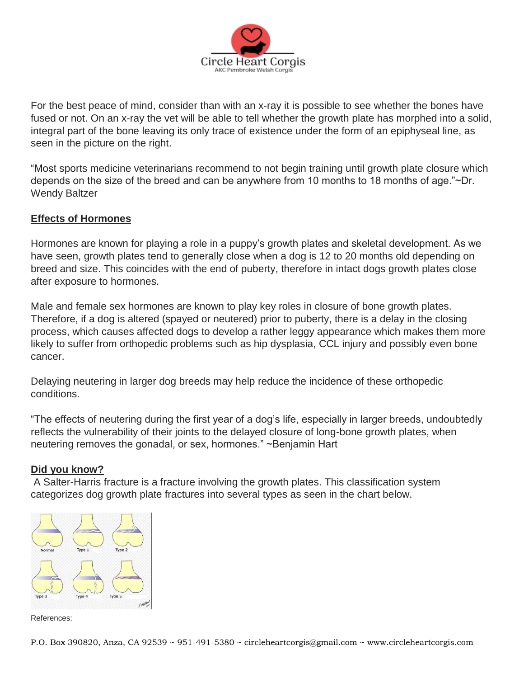

For the best peace of mind, consider than with an x-ray it is possible to see whether the bones have fused or not. On an x-ray the vet will be able to tell whether the growth plate has morphed into a solid, integral part of the bone leaving its only trace of existence under the form of an epiphyseal line, as seen in the picture on the right.

"Most sports medicine veterinarians recommend to not begin training until growth plate closure which depends on the size of the breed and can be anywhere from 10 months to 18 months of age."~Dr. Wendy Baltzer

# **Effects of Hormones**

Hormones are known for playing a role in a puppy's growth plates and skeletal development. As we have seen, growth plates tend to generally close when a dog is 12 to 20 months old depending on breed and size. This coincides with the end of puberty, therefore in intact dogs growth plates close after exposure to hormones.

Male and female sex hormones are known to play key roles in closure of bone growth plates. Therefore, if a dog is altered (spayed or neutered) prior to puberty, there is a delay in the closing process, which causes affected dogs to develop a rather leggy appearance which makes them more likely to suffer from orthopedic problems such as hip dysplasia, CCL injury and possibly even bone cancer.

Delaying neutering in larger dog breeds may help reduce the incidence of these orthopedic conditions.

"The effects of neutering during the first year of a dog's life, especially in larger breeds, undoubtedly reflects the vulnerability of their joints to the delayed closure of long-bone growth plates, when neutering removes the gonadal, or sex, hormones." ~Benjamin Hart

# **Did you know?**

A Salter-Harris fracture is a fracture involving the growth plates. This classification system categorizes dog growth plate fractures into several types as seen in the chart below.



References: